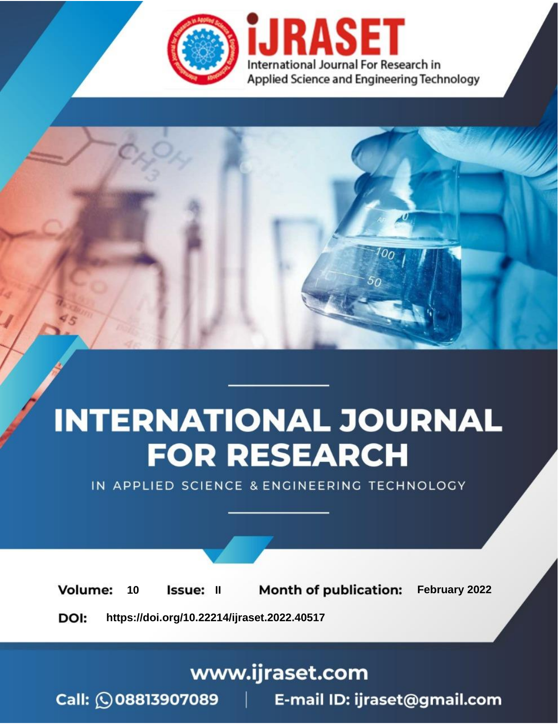

# **INTERNATIONAL JOURNAL FOR RESEARCH**

IN APPLIED SCIENCE & ENGINEERING TECHNOLOGY

**Month of publication:** February 2022 **Volume:** 10 **Issue: II** DOI: https://doi.org/10.22214/ijraset.2022.40517

www.ijraset.com

 $Call: \bigcirc$ 08813907089 E-mail ID: ijraset@gmail.com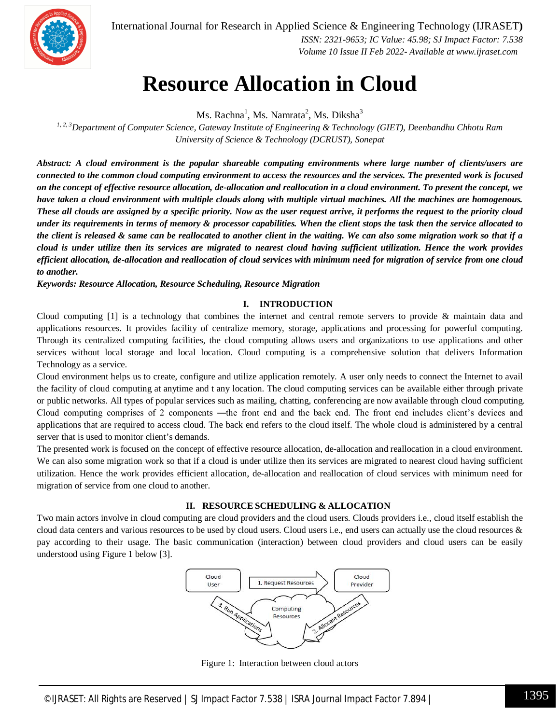

International Journal for Research in Applied Science & Engineering Technology (IJRASET**)**  *ISSN: 2321-9653; IC Value: 45.98; SJ Impact Factor: 7.538*

 *Volume 10 Issue II Feb 2022- Available at www.ijraset.com*

### **Resource Allocation in Cloud**

Ms. Rachna<sup>1</sup>, Ms. Namrata<sup>2</sup>, Ms. Diksha<sup>3</sup>

*1, 2, 3Department of Computer Science, Gateway Institute of Engineering & Technology (GIET), Deenbandhu Chhotu Ram University of Science & Technology (DCRUST), Sonepat*

*Abstract: A cloud environment is the popular shareable computing environments where large number of clients/users are connected to the common cloud computing environment to access the resources and the services. The presented work is focused on the concept of effective resource allocation, de-allocation and reallocation in a cloud environment. To present the concept, we have taken a cloud environment with multiple clouds along with multiple virtual machines. All the machines are homogenous. These all clouds are assigned by a specific priority. Now as the user request arrive, it performs the request to the priority cloud under its requirements in terms of memory & processor capabilities. When the client stops the task then the service allocated to the client is released & same can be reallocated to another client in the waiting. We can also some migration work so that if a cloud is under utilize then its services are migrated to nearest cloud having sufficient utilization. Hence the work provides efficient allocation, de-allocation and reallocation of cloud services with minimum need for migration of service from one cloud to another.*

*Keywords: Resource Allocation, Resource Scheduling, Resource Migration*

#### **I. INTRODUCTION**

Cloud computing [1] is a technology that combines the internet and central remote servers to provide & maintain data and applications resources. It provides facility of centralize memory, storage, applications and processing for powerful computing. Through its centralized computing facilities, the cloud computing allows users and organizations to use applications and other services without local storage and local location. Cloud computing is a comprehensive solution that delivers Information Technology as a service.

Cloud environment helps us to create, configure and utilize application remotely. A user only needs to connect the Internet to avail the facility of cloud computing at anytime and t any location. The cloud computing services can be available either through private or public networks. All types of popular services such as mailing, chatting, conferencing are now available through cloud computing. Cloud computing comprises of 2 components —the front end and the back end. The front end includes client's devices and applications that are required to access cloud. The back end refers to the cloud itself. The whole cloud is administered by a central server that is used to monitor client's demands.

The presented work is focused on the concept of effective resource allocation, de-allocation and reallocation in a cloud environment. We can also some migration work so that if a cloud is under utilize then its services are migrated to nearest cloud having sufficient utilization. Hence the work provides efficient allocation, de-allocation and reallocation of cloud services with minimum need for migration of service from one cloud to another.

#### **II. RESOURCE SCHEDULING & ALLOCATION**

Two main actors involve in cloud computing are cloud providers and the cloud users. Clouds providers i.e., cloud itself establish the cloud data centers and various resources to be used by cloud users. Cloud users i.e., end users can actually use the cloud resources & pay according to their usage. The basic communication (interaction) between cloud providers and cloud users can be easily understood using Figure 1 below [3].



Figure 1: Interaction between cloud actors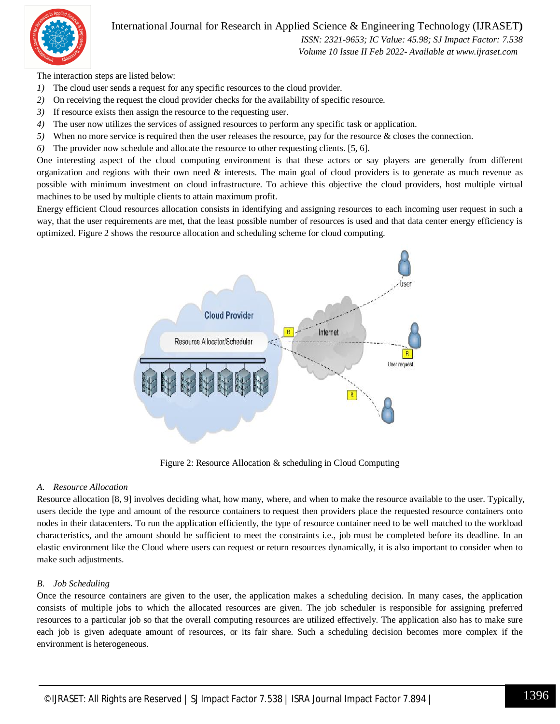#### International Journal for Research in Applied Science & Engineering Technology (IJRASET**)**



 *ISSN: 2321-9653; IC Value: 45.98; SJ Impact Factor: 7.538 Volume 10 Issue II Feb 2022- Available at www.ijraset.com*

The interaction steps are listed below:

- *1)* The cloud user sends a request for any specific resources to the cloud provider.
- *2)* On receiving the request the cloud provider checks for the availability of specific resource.
- *3)* If resource exists then assign the resource to the requesting user.
- *4)* The user now utilizes the services of assigned resources to perform any specific task or application.
- *5)* When no more service is required then the user releases the resource, pay for the resource & closes the connection.
- *6)* The provider now schedule and allocate the resource to other requesting clients. [5, 6].

One interesting aspect of the cloud computing environment is that these actors or say players are generally from different organization and regions with their own need  $\&$  interests. The main goal of cloud providers is to generate as much revenue as possible with minimum investment on cloud infrastructure. To achieve this objective the cloud providers, host multiple virtual machines to be used by multiple clients to attain maximum profit.

Energy efficient Cloud resources allocation consists in identifying and assigning resources to each incoming user request in such a way, that the user requirements are met, that the least possible number of resources is used and that data center energy efficiency is optimized. Figure 2 shows the resource allocation and scheduling scheme for cloud computing.



Figure 2: Resource Allocation & scheduling in Cloud Computing

#### *A. Resource Allocation*

Resource allocation [8, 9] involves deciding what, how many, where, and when to make the resource available to the user. Typically, users decide the type and amount of the resource containers to request then providers place the requested resource containers onto nodes in their datacenters. To run the application efficiently, the type of resource container need to be well matched to the workload characteristics, and the amount should be sufficient to meet the constraints i.e., job must be completed before its deadline. In an elastic environment like the Cloud where users can request or return resources dynamically, it is also important to consider when to make such adjustments.

#### *B. Job Scheduling*

Once the resource containers are given to the user, the application makes a scheduling decision. In many cases, the application consists of multiple jobs to which the allocated resources are given. The job scheduler is responsible for assigning preferred resources to a particular job so that the overall computing resources are utilized effectively. The application also has to make sure each job is given adequate amount of resources, or its fair share. Such a scheduling decision becomes more complex if the environment is heterogeneous.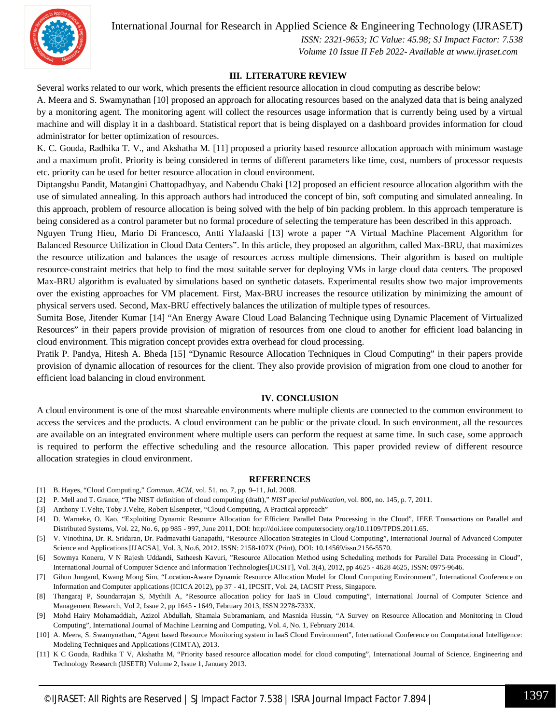International Journal for Research in Applied Science & Engineering Technology (IJRASET**)**



 *ISSN: 2321-9653; IC Value: 45.98; SJ Impact Factor: 7.538 Volume 10 Issue II Feb 2022- Available at www.ijraset.com*

#### **III. LITERATURE REVIEW**

Several works related to our work, which presents the efficient resource allocation in cloud computing as describe below:

A. Meera and S. Swamynathan [10] proposed an approach for allocating resources based on the analyzed data that is being analyzed by a monitoring agent. The monitoring agent will collect the resources usage information that is currently being used by a virtual machine and will display it in a dashboard. Statistical report that is being displayed on a dashboard provides information for cloud administrator for better optimization of resources.

K. C. Gouda, Radhika T. V., and Akshatha M. [11] proposed a priority based resource allocation approach with minimum wastage and a maximum profit. Priority is being considered in terms of different parameters like time, cost, numbers of processor requests etc. priority can be used for better resource allocation in cloud environment.

Diptangshu Pandit, Matangini Chattopadhyay, and Nabendu Chaki [12] proposed an efficient resource allocation algorithm with the use of simulated annealing. In this approach authors had introduced the concept of bin, soft computing and simulated annealing. In this approach, problem of resource allocation is being solved with the help of bin packing problem. In this approach temperature is being considered as a control parameter but no formal procedure of selecting the temperature has been described in this approach.

Nguyen Trung Hieu, Mario Di Francesco, Antti YlaJaaski [13] wrote a paper "A Virtual Machine Placement Algorithm for Balanced Resource Utilization in Cloud Data Centers". In this article, they proposed an algorithm, called Max-BRU, that maximizes the resource utilization and balances the usage of resources across multiple dimensions. Their algorithm is based on multiple resource-constraint metrics that help to find the most suitable server for deploying VMs in large cloud data centers. The proposed Max-BRU algorithm is evaluated by simulations based on synthetic datasets. Experimental results show two major improvements over the existing approaches for VM placement. First, Max-BRU increases the resource utilization by minimizing the amount of physical servers used. Second, Max-BRU effectively balances the utilization of multiple types of resources.

Sumita Bose, Jitender Kumar [14] "An Energy Aware Cloud Load Balancing Technique using Dynamic Placement of Virtualized Resources" in their papers provide provision of migration of resources from one cloud to another for efficient load balancing in cloud environment. This migration concept provides extra overhead for cloud processing.

Pratik P. Pandya, Hitesh A. Bheda [15] "Dynamic Resource Allocation Techniques in Cloud Computing" in their papers provide provision of dynamic allocation of resources for the client. They also provide provision of migration from one cloud to another for efficient load balancing in cloud environment.

#### **IV. CONCLUSION**

A cloud environment is one of the most shareable environments where multiple clients are connected to the common environment to access the services and the products. A cloud environment can be public or the private cloud. In such environment, all the resources are available on an integrated environment where multiple users can perform the request at same time. In such case, some approach is required to perform the effective scheduling and the resource allocation. This paper provided review of different resource allocation strategies in cloud environment.

#### **REFERENCES**

- [1] B. Hayes, "Cloud Computing," *Commun. ACM*, vol. 51, no. 7, pp. 9–11, Jul. 2008.
- [2] P. Mell and T. Grance, "The NIST definition of cloud computing (draft)," *NIST special publication*, vol. 800, no. 145, p. 7, 2011.
- [3] Anthony T.Velte, Toby J.Velte, Robert Elsenpeter, "Cloud Computing, A Practical approach"
- [4] D. Warneke, O. Kao, "Exploiting Dynamic Resource Allocation for Efficient Parallel Data Processing in the Cloud", IEEE Transactions on Parallel and Distributed Systems, Vol. 22, No. 6, pp 985 - 997, June 2011, DOI: http://doi.ieee computersociety.org/10.1109/TPDS.2011.65.
- [5] V. Vinothina, Dr. R. Sridaran, Dr. Padmavathi Ganapathi, "Resource Allocation Strategies in Cloud Computing", International Journal of Advanced Computer Science and Applications [IJACSA], Vol. 3, No.6, 2012. ISSN: 2158-107X (Print), DOI: 10.14569/issn.2156-5570.
- [6] Sowmya Koneru, V N Rajesh Uddandi, Satheesh Kavuri, "Resource Allocation Method using Scheduling methods for Parallel Data Processing in Cloud", International Journal of Computer Science and Information Technologies[IJCSIT], Vol. 3(4), 2012, pp 4625 - 4628 4625, ISSN: 0975-9646.
- [7] Gihun Jungand, Kwang Mong Sim, "Location-Aware Dynamic Resource Allocation Model for Cloud Computing Environment", International Conference on Information and Computer applications (ICICA 2012), pp 37 - 41, IPCSIT, Vol. 24, IACSIT Press, Singapore.
- [8] Thangaraj P, Soundarrajan S, Mythili A, "Resource allocation policy for IaaS in Cloud computing", International Journal of Computer Science and Management Research, Vol 2, Issue 2, pp 1645 - 1649, February 2013, ISSN 2278-733X.
- [9] Mohd Hairy Mohamaddiah, Azizol Abdullah, Shamala Subramaniam, and Masnida Hussin, "A Survey on Resource Allocation and Monitoring in Cloud Computing", International Journal of Machine Learning and Computing, Vol. 4, No. 1, February 2014.
- [10] A. Meera, S. Swamynathan, "Agent based Resource Monitoring system in IaaS Cloud Environment", International Conference on Computational Intelligence: Modeling Techniques and Applications (CIMTA), 2013.
- [11] K C Gouda, Radhika T V, Akshatha M, "Priority based resource allocation model for cloud computing", International Journal of Science, Engineering and Technology Research (IJSETR) Volume 2, Issue 1, January 2013.
	- ©IJRASET: All Rights are Reserved | SJ Impact Factor 7.538 | ISRA Journal Impact Factor 7.894 <sup>|</sup> 1397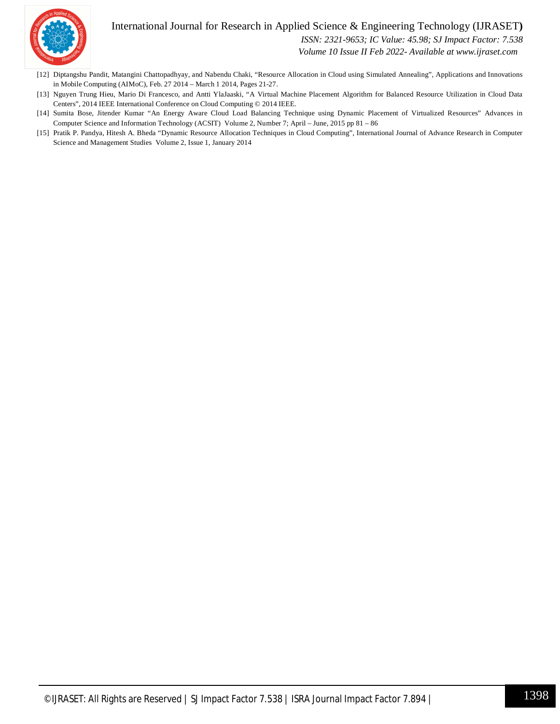#### International Journal for Research in Applied Science & Engineering Technology (IJRASET**)**



 *ISSN: 2321-9653; IC Value: 45.98; SJ Impact Factor: 7.538*

 *Volume 10 Issue II Feb 2022- Available at www.ijraset.com*

- [12] Diptangshu Pandit, Matangini Chattopadhyay, and Nabendu Chaki, "Resource Allocation in Cloud using Simulated Annealing", Applications and Innovations in Mobile Computing (AIMoC), Feb. 27 2014 – March 1 2014, Pages 21-27.
- [13] Nguyen Trung Hieu, Mario Di Francesco, and Antti YlaJaaski, "A Virtual Machine Placement Algorithm for Balanced Resource Utilization in Cloud Data Centers", 2014 IEEE International Conference on Cloud Computing © 2014 IEEE.
- [14] Sumita Bose, Jitender Kumar "An Energy Aware Cloud Load Balancing Technique using Dynamic Placement of Virtualized Resources" Advances in Computer Science and Information Technology (ACSIT) Volume 2, Number 7; April – June, 2015 pp 81 – 86
- [15] Pratik P. Pandya, Hitesh A. Bheda "Dynamic Resource Allocation Techniques in Cloud Computing", International Journal of Advance Research in Computer Science and Management Studies Volume 2, Issue 1, January 2014